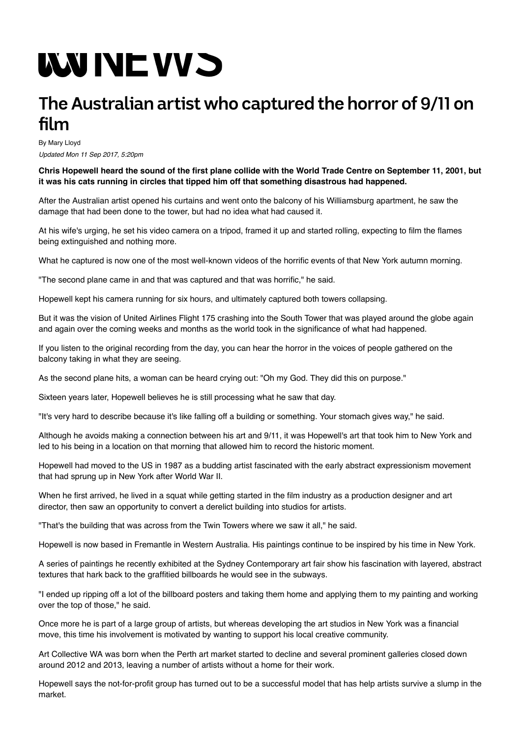## **WUNEWS**

## **TheAustralian artist who captured the horror of 9/11 on film**

By Mary Lloyd Updated Mon 11 Sep 2017, 5:20pm

**Chris Hopewell heard the sound of the first plane collide with the World Trade Centre on September 11, 2001, but it was his cats running in circles that tipped him off that something disastrous had happened.**

After the Australian artist opened his curtains and went onto the balcony of his Williamsburg apartment, he saw the damage that had been done to the tower, but had no idea what had caused it.

At his wife's urging, he set his video camera on a tripod, framed it up and started rolling, expecting to film the flames being extinguished and nothing more.

What he captured is now one of the most well-known videos of the horrific events of that New York autumn morning.

"The second plane came in and that was captured and that was horrific," he said.

Hopewell kept his camera running for six hours, and ultimately captured both towers collapsing.

But it was the vision of United Airlines Flight 175 crashing into the South Tower that was played around the globe again and again over the coming weeks and months as the world took in the significance of what had happened.

If you listen to the original recording from the day, you can hear the horror in the voices of people gathered on the balcony taking in what they are seeing.

As the second plane hits, a woman can be heard crying out: "Oh my God. They did this on purpose."

Sixteen years later, Hopewell believes he is still processing what he saw that day.

"It's very hard to describe because it's like falling off a building or something. Your stomach gives way," he said.

Although he avoids making a connection between his art and 9/11, it was Hopewell's art that took him to New York and led to his being in a location on that morning that allowed him to record the historic moment.

Hopewell had moved to the US in 1987 as a budding artist fascinated with the early abstract expressionism movement that had sprung up in New York after World War II.

When he first arrived, he lived in a squat while getting started in the film industry as a production designer and art director, then saw an opportunity to convert a derelict building into studios for artists.

"That's the building that was across from the Twin Towers where we saw it all," he said.

Hopewell is now based in Fremantle in Western Australia. His paintings continue to be inspired by his time in New York.

A series of paintings he recently exhibited at the Sydney Contemporary art fair show his fascination with layered, abstract textures that hark back to the graffitied billboards he would see in the subways.

"I ended up ripping off a lot of the billboard posters and taking them home and applying them to my painting and working over the top of those," he said.

Once more he is part of a large group of artists, but whereas developing the art studios in New York was a financial move, this time his involvement is motivated by wanting to support his local creative community.

Art Collective WA was born when the Perth art market started to decline and several prominent galleries closed down around 2012 and 2013, leaving a number of artists without a home for their work.

Hopewell says the not-for-profit group has turned out to be a successful model that has help artists survive a slump in the market.